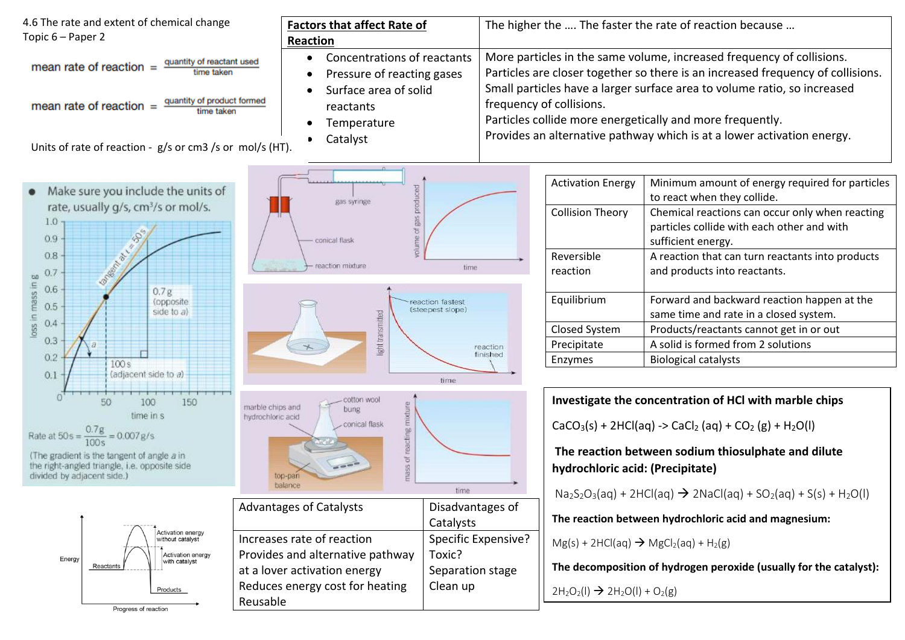| 4.6 The rate and extent of chemical change<br>Topic 6 – Paper 2                                                                                                                                                                                                                                                                         | <b>Factors that affect Rate of</b><br>Reaction                                                                                          |                                                                      |                                                                                                                                                                                                                                                                                                                                                                                                         | The higher the  The faster the rate of reaction because                                                                                                                                                                                                                                   |
|-----------------------------------------------------------------------------------------------------------------------------------------------------------------------------------------------------------------------------------------------------------------------------------------------------------------------------------------|-----------------------------------------------------------------------------------------------------------------------------------------|----------------------------------------------------------------------|---------------------------------------------------------------------------------------------------------------------------------------------------------------------------------------------------------------------------------------------------------------------------------------------------------------------------------------------------------------------------------------------------------|-------------------------------------------------------------------------------------------------------------------------------------------------------------------------------------------------------------------------------------------------------------------------------------------|
| Concentrations of reactants<br>quantity of reactant used<br>mean rate of reaction $=$<br>time taken<br>Pressure of reacting gases<br>Surface area of solid<br>quantity of product formed<br>mean rate of reaction $=$<br>reactants<br>time taken<br>Temperature<br>Catalyst<br>Units of rate of reaction - g/s or cm3 /s or mol/s (HT). |                                                                                                                                         |                                                                      | More particles in the same volume, increased frequency of collisions.<br>Particles are closer together so there is an increased frequency of collisions.<br>Small particles have a larger surface area to volume ratio, so increased<br>frequency of collisions.<br>Particles collide more energetically and more frequently.<br>Provides an alternative pathway which is at a lower activation energy. |                                                                                                                                                                                                                                                                                           |
| Make sure you include the units of<br>rate, usually g/s, cm <sup>3</sup> /s or mol/s.<br>1.0<br>0.9<br>0.8<br>0.7<br>00                                                                                                                                                                                                                 | praduc<br>gas syringe<br>conical flask<br>reaction mixture                                                                              | time                                                                 | <b>Activation Energy</b><br><b>Collision Theory</b><br>Reversible<br>reaction                                                                                                                                                                                                                                                                                                                           | Minimum amount of energy required for particles<br>to react when they collide.<br>Chemical reactions can occur only when reacting<br>particles collide with each other and with<br>sufficient energy.<br>A reaction that can turn reactants into products<br>and products into reactants. |
| mass in<br>0.6<br>0.7g<br>(opposite)<br>0.5<br>side to a)<br>loss in<br>0.4<br>0.3<br>0.2<br>100s<br>(adjacent side to a)<br>0.1                                                                                                                                                                                                        | ight transmitted                                                                                                                        | reaction fastest<br>(steepest slope)<br>reaction<br>finished<br>time | Equilibrium<br>Closed System<br>Precipitate<br>Enzymes                                                                                                                                                                                                                                                                                                                                                  | Forward and backward reaction happen at the<br>same time and rate in a closed system.<br>Products/reactants cannot get in or out<br>A solid is formed from 2 solutions<br><b>Biological catalysts</b>                                                                                     |
| 50<br>100<br>150<br>time in s<br>Rate at $50s = \frac{0.7g}{100s} = 0.007g/s$<br>(The gradient is the tangent of angle a in<br>the right-angled triangle, i.e. opposite side<br>divided by adjacent side.)                                                                                                                              | cotton wool<br>mass of reacting mixture<br>marble chips and<br>bung<br>hydrochloric acid<br>- conical flask<br>$\frac{1}{2}$<br>balance | time                                                                 | hydrochloric acid: (Precipitate)                                                                                                                                                                                                                                                                                                                                                                        | Investigate the concentration of HCI with marble chips<br>$CaCO3(s) + 2HCl(aq) -> CaCl2(aq) + CO2(g) + H2O(l)$<br>The reaction between sodium thiosulphate and dilute<br>$Na2S2O3(aq) + 2HCl(aq)$ $\rightarrow$ 2NaCl(aq) + SO <sub>2</sub> (aq) + S(s) + H <sub>2</sub> O(l)             |
| <b>Activation energy</b><br>without catalyst<br><b>Activation energy</b><br>Energy<br>with catalyst                                                                                                                                                                                                                                     | <b>Advantages of Catalysts</b><br>Increases rate of reaction<br>Provides and alternative pathway                                        | Disadvantages of<br>Catalysts<br>Specific Expensive?<br>Toxic?       | $Mg(s) + 2HCl(aq) \rightarrow MgCl2(aq) + H2(g)$                                                                                                                                                                                                                                                                                                                                                        | The reaction between hydrochloric acid and magnesium:                                                                                                                                                                                                                                     |
| Reactants<br>Products<br>Progress of reaction                                                                                                                                                                                                                                                                                           | at a lover activation energy<br>Reduces energy cost for heating<br>Reusable                                                             | Separation stage<br>Clean up                                         | $2H_2O_2(I) \rightarrow 2H_2O(I) + O_2(g)$                                                                                                                                                                                                                                                                                                                                                              | The decomposition of hydrogen peroxide (usually for the catalyst):                                                                                                                                                                                                                        |